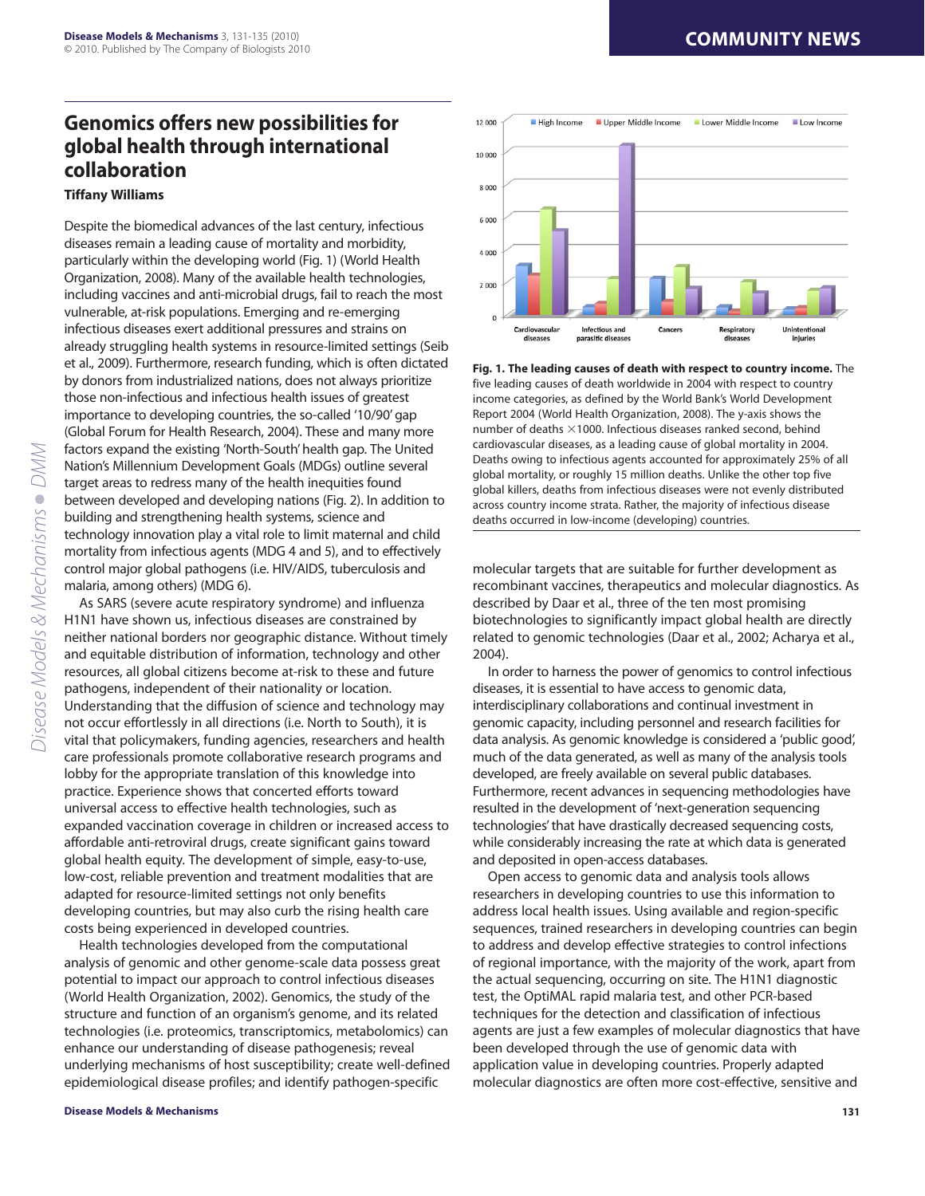# **Genomics offers new possibilities for global health through international collaboration**

# **Tiffany Williams**

Despite the biomedical advances of the last century, infectious diseases remain a leading cause of mortality and morbidity, particularly within the developing world (Fig. 1) (World Health Organization, 2008). Many of the available health technologies, including vaccines and anti-microbial drugs, fail to reach the most vulnerable, at-risk populations. Emerging and re-emerging infectious diseases exert additional pressures and strains on already struggling health systems in resource-limited settings (Seib et al., 2009). Furthermore, research funding, which is often dictated by donors from industrialized nations, does not always prioritize those non-infectious and infectious health issues of greatest importance to developing countries, the so-called '10/90' gap (Global Forum for Health Research, 2004). These and many more factors expand the existing 'North-South' health gap. The United Nation's Millennium Development Goals (MDGs) outline several target areas to redress many of the health inequities found between developed and developing nations (Fig. 2). In addition to building and strengthening health systems, science and technology innovation play a vital role to limit maternal and child mortality from infectious agents (MDG 4 and 5), and to effectively control major global pathogens (i.e. HIV/AIDS, tuberculosis and malaria, among others) (MDG 6).

As SARS (severe acute respiratory syndrome) and influenza H1N1 have shown us, infectious diseases are constrained by neither national borders nor geographic distance. Without timely and equitable distribution of information, technology and other resources, all global citizens become at-risk to these and future pathogens, independent of their nationality or location. Understanding that the diffusion of science and technology may not occur effortlessly in all directions (i.e. North to South), it is vital that policymakers, funding agencies, researchers and health care professionals promote collaborative research programs and lobby for the appropriate translation of this knowledge into practice. Experience shows that concerted efforts toward universal access to effective health technologies, such as expanded vaccination coverage in children or increased access to affordable anti-retroviral drugs, create significant gains toward global health equity. The development of simple, easy-to-use, low-cost, reliable prevention and treatment modalities that are adapted for resource-limited settings not only benefits developing countries, but may also curb the rising health care costs being experienced in developed countries.

Health technologies developed from the computational analysis of genomic and other genome-scale data possess great potential to impact our approach to control infectious diseases (World Health Organization, 2002). Genomics, the study of the structure and function of an organism's genome, and its related technologies (i.e. proteomics, transcriptomics, metabolomics) can enhance our understanding of disease pathogenesis; reveal underlying mechanisms of host susceptibility; create well-defined epidemiological disease profiles; and identify pathogen-specific



**Fig. 1. The leading causes of death with respect to country income.** The five leading causes of death worldwide in 2004 with respect to country income categories, as defined by the World Bank's World Development Report 2004 (World Health Organization, 2008). The y-axis shows the number of deaths  $\times$ 1000. Infectious diseases ranked second, behind cardiovascular diseases, as a leading cause of global mortality in 2004. Deaths owing to infectious agents accounted for approximately 25% of all global mortality, or roughly 15 million deaths. Unlike the other top five global killers, deaths from infectious diseases were not evenly distributed across country income strata. Rather, the majority of infectious disease deaths occurred in low-income (developing) countries.

molecular targets that are suitable for further development as recombinant vaccines, therapeutics and molecular diagnostics. As described by Daar et al., three of the ten most promising biotechnologies to significantly impact global health are directly related to genomic technologies (Daar et al., 2002; Acharya et al., 2004).

In order to harness the power of genomics to control infectious diseases, it is essential to have access to genomic data, interdisciplinary collaborations and continual investment in genomic capacity, including personnel and research facilities for data analysis. As genomic knowledge is considered a 'public good', much of the data generated, as well as many of the analysis tools developed, are freely available on several public databases. Furthermore, recent advances in sequencing methodologies have resulted in the development of 'next-generation sequencing technologies' that have drastically decreased sequencing costs, while considerably increasing the rate at which data is generated and deposited in open-access databases.

Open access to genomic data and analysis tools allows researchers in developing countries to use this information to address local health issues. Using available and region-specific sequences, trained researchers in developing countries can begin to address and develop effective strategies to control infections of regional importance, with the majority of the work, apart from the actual sequencing, occurring on site. The H1N1 diagnostic test, the OptiMAL rapid malaria test, and other PCR-based techniques for the detection and classification of infectious agents are just a few examples of molecular diagnostics that have been developed through the use of genomic data with application value in developing countries. Properly adapted molecular diagnostics are often more cost-effective, sensitive and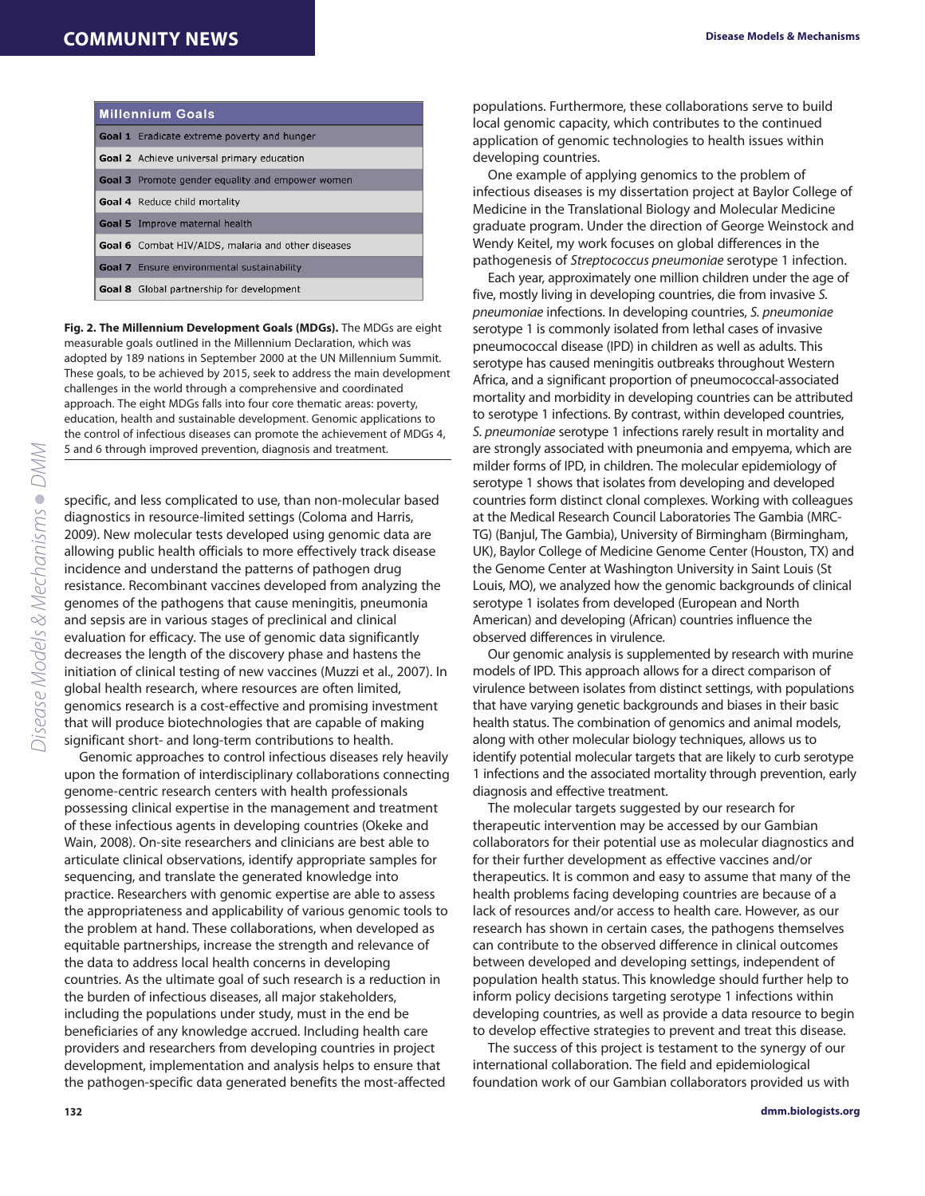| <b>Millennium Goals</b>                                 |
|---------------------------------------------------------|
| Goal 1 Eradicate extreme poverty and hunger             |
| <b>Goal 2</b> Achieve universal primary education       |
| <b>Goal 3</b> Promote gender equality and empower women |
| <b>Goal 4</b> Reduce child mortality                    |
| <b>Goal 5</b> Improve maternal health                   |
| Goal 6 Combat HIV/AIDS, malaria and other diseases      |
| <b>Goal 7</b> Ensure environmental sustainability       |
| <b>Goal 8</b> Global partnership for development        |

**Fig. 2. The Millennium Development Goals (MDGs).** The MDGs are eight measurable goals outlined in the Millennium Declaration, which was adopted by 189 nations in September 2000 at the UN Millennium Summit. These goals, to be achieved by 2015, seek to address the main development challenges in the world through a comprehensive and coordinated approach. The eight MDGs falls into four core thematic areas: poverty, education, health and sustainable development. Genomic applications to the control of infectious diseases can promote the achievement of MDGs 4, 5 and 6 through improved prevention, diagnosis and treatment.

specific, and less complicated to use, than non-molecular based diagnostics in resource-limited settings (Coloma and Harris, 2009). New molecular tests developed using genomic data are allowing public health officials to more effectively track disease incidence and understand the patterns of pathogen drug resistance. Recombinant vaccines developed from analyzing the genomes of the pathogens that cause meningitis, pneumonia and sepsis are in various stages of preclinical and clinical evaluation for efficacy. The use of genomic data significantly decreases the length of the discovery phase and hastens the initiation of clinical testing of new vaccines (Muzzi et al., 2007). In global health research, where resources are often limited, genomics research is a cost-effective and promising investment that will produce biotechnologies that are capable of making significant short- and long-term contributions to health.

Genomic approaches to control infectious diseases rely heavily upon the formation of interdisciplinary collaborations connecting genome-centric research centers with health professionals possessing clinical expertise in the management and treatment of these infectious agents in developing countries (Okeke and Wain, 2008). On-site researchers and clinicians are best able to articulate clinical observations, identify appropriate samples for sequencing, and translate the generated knowledge into practice. Researchers with genomic expertise are able to assess the appropriateness and applicability of various genomic tools to the problem at hand. These collaborations, when developed as equitable partnerships, increase the strength and relevance of the data to address local health concerns in developing countries. As the ultimate goal of such research is a reduction in the burden of infectious diseases, all major stakeholders, including the populations under study, must in the end be beneficiaries of any knowledge accrued. Including health care providers and researchers from developing countries in project development, implementation and analysis helps to ensure that the pathogen-specific data generated benefits the most-affected

populations. Furthermore, these collaborations serve to build local genomic capacity, which contributes to the continued application of genomic technologies to health issues within developing countries.

One example of applying genomics to the problem of infectious diseases is my dissertation project at Baylor College of Medicine in the Translational Biology and Molecular Medicine graduate program. Under the direction of George Weinstock and Wendy Keitel, my work focuses on global differences in the pathogenesis of Streptococcus pneumoniae serotype 1 infection.

Each year, approximately one million children under the age of five, mostly living in developing countries, die from invasive S. pneumoniae infections. In developing countries, S. pneumoniae serotype 1 is commonly isolated from lethal cases of invasive pneumococcal disease (IPD) in children as well as adults. This serotype has caused meningitis outbreaks throughout Western Africa, and a significant proportion of pneumococcal-associated mortality and morbidity in developing countries can be attributed to serotype 1 infections. By contrast, within developed countries, S. pneumoniae serotype 1 infections rarely result in mortality and are strongly associated with pneumonia and empyema, which are milder forms of IPD, in children. The molecular epidemiology of serotype 1 shows that isolates from developing and developed countries form distinct clonal complexes. Working with colleagues at the Medical Research Council Laboratories The Gambia (MRC-TG) (Banjul, The Gambia), University of Birmingham (Birmingham, UK), Baylor College of Medicine Genome Center (Houston, TX) and the Genome Center at Washington University in Saint Louis (St Louis, MO), we analyzed how the genomic backgrounds of clinical serotype 1 isolates from developed (European and North American) and developing (African) countries influence the observed differences in virulence.

Our genomic analysis is supplemented by research with murine models of IPD. This approach allows for a direct comparison of virulence between isolates from distinct settings, with populations that have varying genetic backgrounds and biases in their basic health status. The combination of genomics and animal models, along with other molecular biology techniques, allows us to identify potential molecular targets that are likely to curb serotype 1 infections and the associated mortality through prevention, early diagnosis and effective treatment.

The molecular targets suggested by our research for therapeutic intervention may be accessed by our Gambian collaborators for their potential use as molecular diagnostics and for their further development as effective vaccines and/or therapeutics. It is common and easy to assume that many of the health problems facing developing countries are because of a lack of resources and/or access to health care. However, as our research has shown in certain cases, the pathogens themselves can contribute to the observed difference in clinical outcomes between developed and developing settings, independent of population health status. This knowledge should further help to inform policy decisions targeting serotype 1 infections within developing countries, as well as provide a data resource to begin to develop effective strategies to prevent and treat this disease.

The success of this project is testament to the synergy of our international collaboration. The field and epidemiological foundation work of our Gambian collaborators provided us with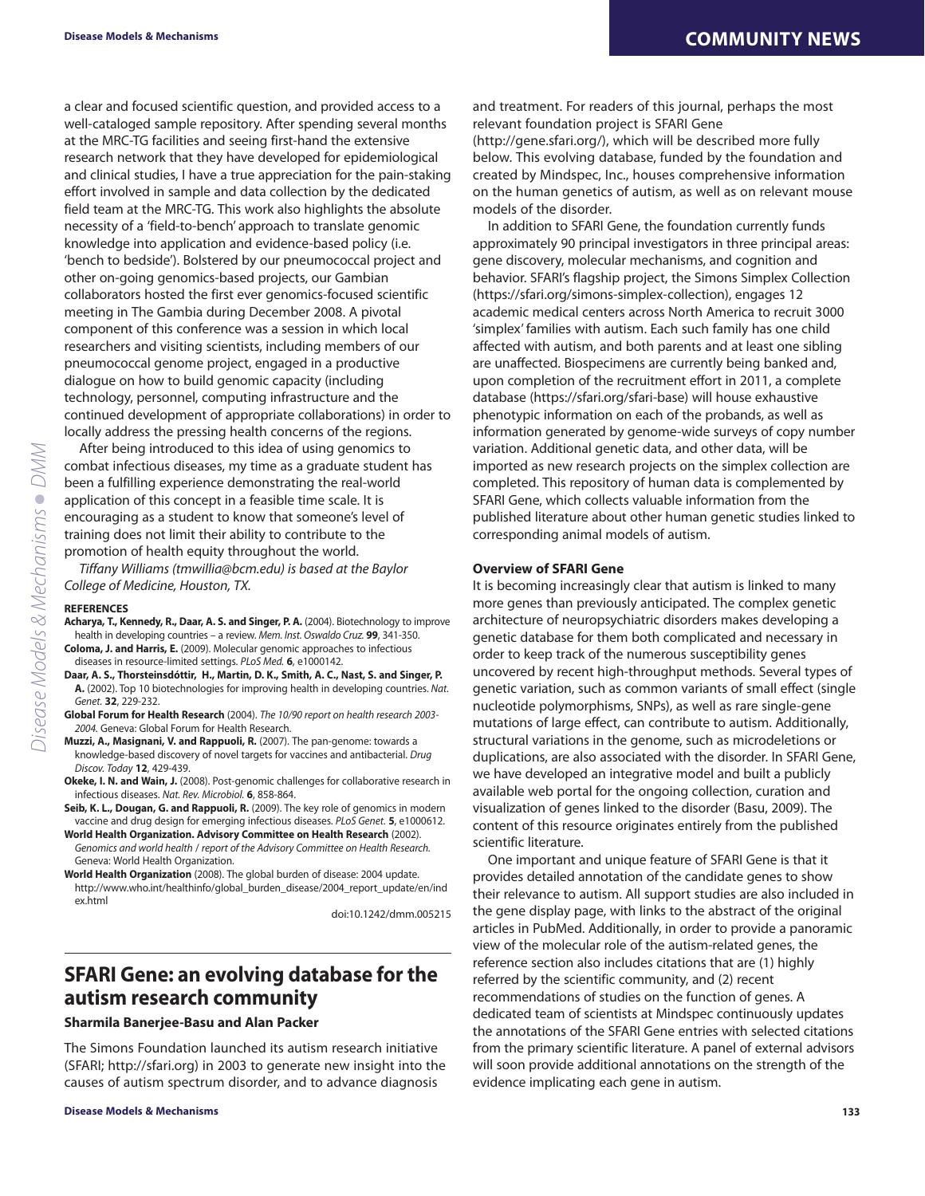a clear and focused scientific question, and provided access to a well-cataloged sample repository. After spending several months at the MRC-TG facilities and seeing first-hand the extensive research network that they have developed for epidemiological and clinical studies, I have a true appreciation for the pain-staking effort involved in sample and data collection by the dedicated field team at the MRC-TG. This work also highlights the absolute necessity of a 'field-to-bench' approach to translate genomic knowledge into application and evidence-based policy (i.e. 'bench to bedside'). Bolstered by our pneumococcal project and other on-going genomics-based projects, our Gambian collaborators hosted the first ever genomics-focused scientific meeting in The Gambia during December 2008. A pivotal component of this conference was a session in which local researchers and visiting scientists, including members of our pneumococcal genome project, engaged in a productive dialogue on how to build genomic capacity (including technology, personnel, computing infrastructure and the continued development of appropriate collaborations) in order to locally address the pressing health concerns of the regions.

After being introduced to this idea of using genomics to combat infectious diseases, my time as a graduate student has been a fulfilling experience demonstrating the real-world application of this concept in a feasible time scale. It is encouraging as a student to know that someone's level of training does not limit their ability to contribute to the promotion of health equity throughout the world.

Tiffany Williams (tmwillia@bcm.edu) is based at the Baylor College of Medicine, Houston, TX.

#### **REFERENCES**

- **Acharya, T., Kennedy, R., Daar, A. S. and Singer, P. A.** (2004). Biotechnology to improve health in developing countries – a review. Mem. Inst. Oswaldo Cruz. **99**, 341-350.
- **Coloma, J. and Harris, E.** (2009). Molecular genomic approaches to infectious diseases in resource-limited settings. PLoS Med. **6**, e1000142.
- **Daar, A. S., Thorsteinsdóttir, H., Martin, D. K., Smith, A. C., Nast, S. and Singer, P. A.** (2002). Top 10 biotechnologies for improving health in developing countries. Nat. Genet. **32**, 229-232.
- **Global Forum for Health Research** (2004). The 10/90 report on health research 2003- 2004. Geneva: Global Forum for Health Research.
- **Muzzi, A., Masignani, V. and Rappuoli, R.** (2007). The pan-genome: towards a knowledge-based discovery of novel targets for vaccines and antibacterial. Drug Discov. Today **12**, 429-439.
- **Okeke, I. N. and Wain, J.** (2008). Post-genomic challenges for collaborative research in infectious diseases. Nat. Rev. Microbiol. **6**, 858-864.
- **Seib, K. L., Dougan, G. and Rappuoli, R.** (2009). The key role of genomics in modern vaccine and drug design for emerging infectious diseases. PLoS Genet. **5**, e1000612.

**World Health Organization. Advisory Committee on Health Research** (2002). Genomics and world health / report of the Advisory Committee on Health Research. Geneva: World Health Organization.

**World Health Organization** (2008). The global burden of disease: 2004 update. http://www.who.int/healthinfo/global\_burden\_disease/2004\_report\_update/en/ind ex.html

doi:10.1242/dmm.005215

# **SFARI Gene: an evolving database for the autism research community**

# **Sharmila Banerjee-Basu and Alan Packer**

The Simons Foundation launched its autism research initiative (SFARI; http://sfari.org) in 2003 to generate new insight into the causes of autism spectrum disorder, and to advance diagnosis

and treatment. For readers of this journal, perhaps the most relevant foundation project is SFARI Gene (http://gene.sfari.org/), which will be described more fully below. This evolving database, funded by the foundation and created by Mindspec, Inc., houses comprehensive information on the human genetics of autism, as well as on relevant mouse models of the disorder.

In addition to SFARI Gene, the foundation currently funds approximately 90 principal investigators in three principal areas: gene discovery, molecular mechanisms, and cognition and behavior. SFARI's flagship project, the Simons Simplex Collection (https://sfari.org/simons-simplex-collection), engages 12 academic medical centers across North America to recruit 3000 'simplex' families with autism. Each such family has one child affected with autism, and both parents and at least one sibling are unaffected. Biospecimens are currently being banked and, upon completion of the recruitment effort in 2011, a complete database (https://sfari.org/sfari-base) will house exhaustive phenotypic information on each of the probands, as well as information generated by genome-wide surveys of copy number variation. Additional genetic data, and other data, will be imported as new research projects on the simplex collection are completed. This repository of human data is complemented by SFARI Gene, which collects valuable information from the published literature about other human genetic studies linked to corresponding animal models of autism.

#### **Overview of SFARI Gene**

It is becoming increasingly clear that autism is linked to many more genes than previously anticipated. The complex genetic architecture of neuropsychiatric disorders makes developing a genetic database for them both complicated and necessary in order to keep track of the numerous susceptibility genes uncovered by recent high-throughput methods. Several types of genetic variation, such as common variants of small effect (single nucleotide polymorphisms, SNPs), as well as rare single-gene mutations of large effect, can contribute to autism. Additionally, structural variations in the genome, such as microdeletions or duplications, are also associated with the disorder. In SFARI Gene, we have developed an integrative model and built a publicly available web portal for the ongoing collection, curation and visualization of genes linked to the disorder (Basu, 2009). The content of this resource originates entirely from the published scientific literature.

One important and unique feature of SFARI Gene is that it provides detailed annotation of the candidate genes to show their relevance to autism. All support studies are also included in the gene display page, with links to the abstract of the original articles in PubMed. Additionally, in order to provide a panoramic view of the molecular role of the autism-related genes, the reference section also includes citations that are (1) highly referred by the scientific community, and (2) recent recommendations of studies on the function of genes. A dedicated team of scientists at Mindspec continuously updates the annotations of the SFARI Gene entries with selected citations from the primary scientific literature. A panel of external advisors will soon provide additional annotations on the strength of the evidence implicating each gene in autism.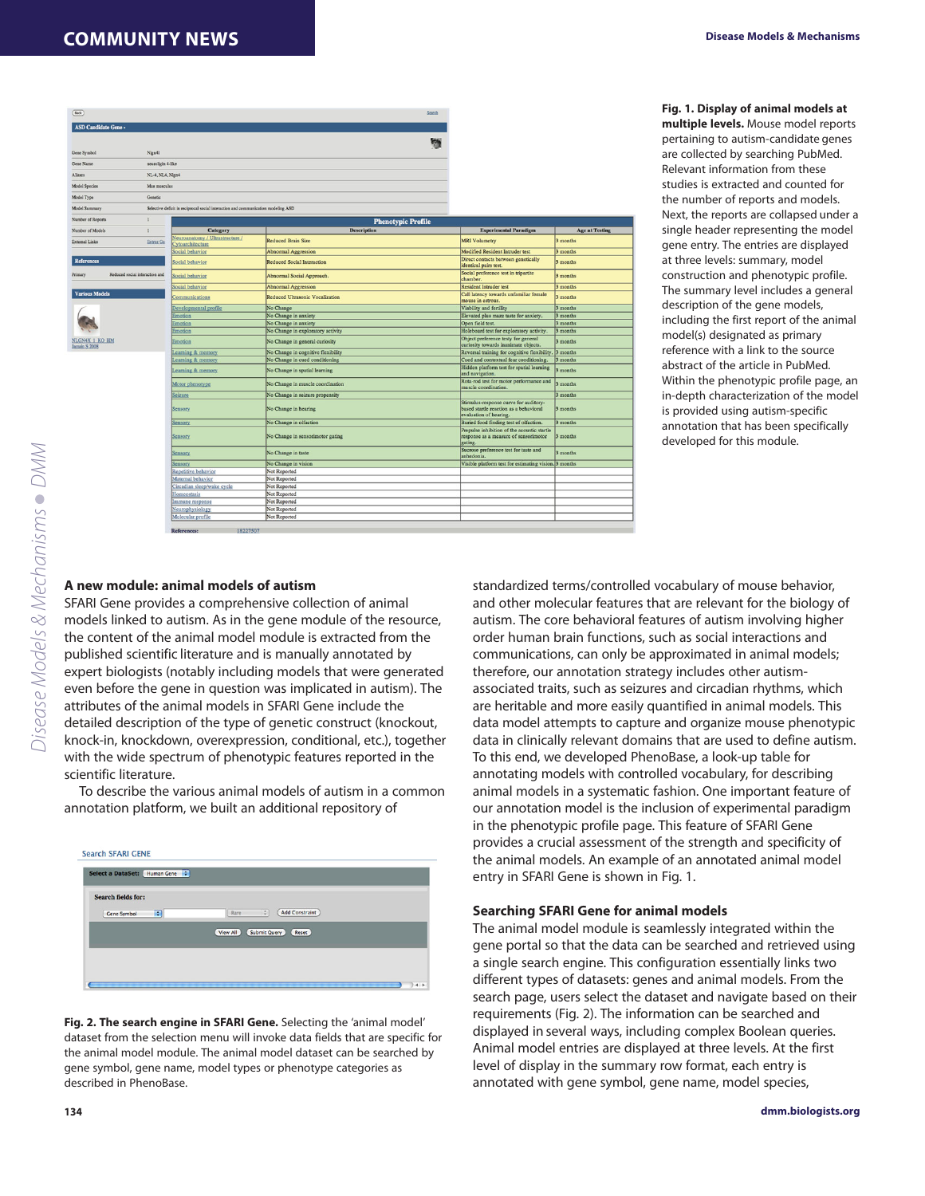| t                             |
|-------------------------------|
|                               |
|                               |
| I<br>١                        |
|                               |
| ļ                             |
|                               |
| I                             |
|                               |
|                               |
| ļ                             |
|                               |
|                               |
| $\overline{a}$                |
|                               |
| i<br>(                        |
|                               |
| ١                             |
|                               |
|                               |
|                               |
|                               |
|                               |
|                               |
| ¢<br>۱                        |
|                               |
| I<br>١                        |
|                               |
| Ï<br>١                        |
|                               |
| l                             |
|                               |
| j                             |
|                               |
|                               |
|                               |
|                               |
| I<br>١<br>۱                   |
|                               |
| I<br>١                        |
| I                             |
| ١                             |
| Ì                             |
|                               |
| ţ<br>J                        |
|                               |
| $\overline{\mathcal{L}}$<br>١ |

| (Back)                                 |                                           |                                                                                   | Search                             |                                                                                                           |                       |  |  |  |  |
|----------------------------------------|-------------------------------------------|-----------------------------------------------------------------------------------|------------------------------------|-----------------------------------------------------------------------------------------------------------|-----------------------|--|--|--|--|
| ASD Candidate Gene -                   |                                           |                                                                                   |                                    |                                                                                                           |                       |  |  |  |  |
|                                        |                                           |                                                                                   |                                    |                                                                                                           |                       |  |  |  |  |
|                                        |                                           |                                                                                   | t in                               |                                                                                                           |                       |  |  |  |  |
| Gene Symbol                            | Nign41                                    |                                                                                   |                                    |                                                                                                           |                       |  |  |  |  |
| Gene Name                              | neuroligin 4-like                         |                                                                                   |                                    |                                                                                                           |                       |  |  |  |  |
| Aliases                                | NL-4, NL4, Nlgn4                          |                                                                                   |                                    |                                                                                                           |                       |  |  |  |  |
|                                        |                                           |                                                                                   |                                    |                                                                                                           |                       |  |  |  |  |
| Model Species                          | Mos musculus                              |                                                                                   |                                    |                                                                                                           |                       |  |  |  |  |
| Model Type                             | Genetic                                   |                                                                                   |                                    |                                                                                                           |                       |  |  |  |  |
| Model Summary                          |                                           | Selective deficit in reciprocal social interaction and communication modeling ASD |                                    |                                                                                                           |                       |  |  |  |  |
| Number of Reports                      | $\mathbf{1}$<br><b>Phenotypic Profile</b> |                                                                                   |                                    |                                                                                                           |                       |  |  |  |  |
| Number of Models                       | $\mathbf{I}$                              | <b>Category</b>                                                                   | <b>Description</b>                 | <b>Experimental Paradigm</b>                                                                              | <b>Age at Testing</b> |  |  |  |  |
|                                        |                                           | leuroanatomy / Ultrastructure /                                                   |                                    |                                                                                                           |                       |  |  |  |  |
| <b>External Links</b>                  | Entrez Ge                                 | <b>cytoarchitecture</b>                                                           | Reduced Brain Size                 | <b>MRI</b> Volumetry                                                                                      | 3 months              |  |  |  |  |
|                                        |                                           | Social behavior                                                                   | Abnormal Aggression                | Modified Resident Intruder test                                                                           | 3 months              |  |  |  |  |
| References                             |                                           | Social behavior                                                                   | Reduced Social Interaction         | Direct contacts between genetically<br>identical pairs test.                                              | 3 months              |  |  |  |  |
| Primary                                | Reduced social interaction and            | Social behavior                                                                   | Abnormal Social Approach.          | Social preference test in tripartite<br>chamber.                                                          | 3 months              |  |  |  |  |
|                                        |                                           | Social behavior                                                                   | <b>Abnormal Aggression</b>         | <b>Resident Intruder test</b>                                                                             | 3 months              |  |  |  |  |
| <b>Various Models</b>                  |                                           | <b>Communications</b>                                                             | Reduced Ultrasonic Vocalization    | Call latency towards unfamiliar female<br>mouse in estrous.                                               | 3 months              |  |  |  |  |
|                                        |                                           | Developmental profile                                                             | No Change                          | Viability and fertility                                                                                   | 3 months              |  |  |  |  |
|                                        |                                           | Emotion                                                                           | No Change in anxiety               | Elevated plus maze taste for anxiety.                                                                     | 3 months              |  |  |  |  |
|                                        |                                           | Emotion                                                                           | No Change in anxiety               | Open field test.                                                                                          | 3 months              |  |  |  |  |
|                                        |                                           | Emotion                                                                           | No Change in exploratory activity  | Holeboard test for exploratory activity.                                                                  | 3 months              |  |  |  |  |
| <b>NLGN4X 1 KO HM</b><br>Jamain S 2008 |                                           | Emotion                                                                           | No Change in general curiosity     | Object preference testy for general<br>curiosity towards inanimate objects.                               | 3 months              |  |  |  |  |
|                                        |                                           | Learning & memory                                                                 | No Change in cognitive flexibility | Reversal training for cognitive flexibility. 3 months                                                     |                       |  |  |  |  |
|                                        |                                           | Learning & memory                                                                 | No Change in cued conditioning     | Cued and contextual fear conditioning.                                                                    | 3 months              |  |  |  |  |
|                                        |                                           | Learning & memory                                                                 | No Change in spatial learning      | Hidden platform test for spatial learning<br>and navigation.                                              | 3 months              |  |  |  |  |
|                                        |                                           | Motor phenotype                                                                   | No Change in muscle coordination   | Rota-rod test for motor performance and<br>muscle coordination.                                           | 3 months              |  |  |  |  |
|                                        |                                           | Seizure                                                                           | No Change in seizure propensity    |                                                                                                           | 3 months              |  |  |  |  |
|                                        |                                           | Sensory                                                                           | No Change in hearing               | Stimulus-response curve for auditory-<br>based startle reaction as a behavioral<br>evaluation of hearing. | 3 months              |  |  |  |  |
|                                        |                                           | Sensory                                                                           | No Change in olfaction             | Buried food finding test of olfaction.                                                                    | 3 months              |  |  |  |  |
|                                        |                                           | Sensory                                                                           | No Change in sensorimotor gating   | Prepulse inhibition of the acoustic startle<br>response as a measure of sensorimotor<br>gating.           | 3 months              |  |  |  |  |
|                                        |                                           | Sensory                                                                           | No Change in taste                 | Sucrose preference test for taste and<br>anhedonia.                                                       | 3 months              |  |  |  |  |
|                                        |                                           | Sensory                                                                           | No Change in vision                | Visible platform test for estimating vision. <sup>3</sup> months                                          |                       |  |  |  |  |
|                                        |                                           | Repetitive behavior                                                               | Not Reported                       |                                                                                                           |                       |  |  |  |  |
|                                        |                                           | Maternal behavior                                                                 | Not Reported                       |                                                                                                           |                       |  |  |  |  |
|                                        |                                           | Circadian sleep/wake cycle                                                        | Not Reported                       |                                                                                                           |                       |  |  |  |  |
|                                        |                                           | Homeostasis                                                                       | Not Reported                       |                                                                                                           |                       |  |  |  |  |
|                                        |                                           | Immune response                                                                   | Not Reported                       |                                                                                                           |                       |  |  |  |  |
|                                        |                                           | Neurophysiology                                                                   | Not Reported                       |                                                                                                           |                       |  |  |  |  |
|                                        |                                           | Molecular profile                                                                 | Not Reported                       |                                                                                                           |                       |  |  |  |  |

**Fig. 1. Display of animal models at multiple levels.** Mouse model reports pertaining to autism-candidate genes are collected by searching PubMed. Relevant information from these studies is extracted and counted for the number of reports and models. Next, the reports are collapsed under a single header representing the model gene entry. The entries are displayed at three levels: summary, model construction and phenotypic profile. The summary level includes a general description of the gene models, including the first report of the animal model(s) designated as primary reference with a link to the source abstract of the article in PubMed. Within the phenotypic profile page, an in-depth characterization of the model is provided using autism-specific annotation that has been specifically developed for this module.

## **A new module: animal models of autism**

SFARI Gene provides a comprehensive collection of animal models linked to autism. As in the gene module of the resource, the content of the animal model module is extracted from the published scientific literature and is manually annotated by expert biologists (notably including models that were generated even before the gene in question was implicated in autism). The attributes of the animal models in SFARI Gene include the detailed description of the type of genetic construct (knockout, knock-in, knockdown, overexpression, conditional, etc.), together with the wide spectrum of phenotypic features reported in the scientific literature.

To describe the various animal models of autism in a common annotation platform, we built an additional repository of

| <b>Search fields for:</b> |      |          |                              |  |  |
|---------------------------|------|----------|------------------------------|--|--|
| <b>Gene Symbol</b>        | - 69 | Rare     | <b>Add Constraint</b><br>-91 |  |  |
|                           |      | View All | Submit Query (Reset          |  |  |
|                           |      |          |                              |  |  |

**Fig. 2. The search engine in SFARI Gene.** Selecting the 'animal model' dataset from the selection menu will invoke data fields that are specific for the animal model module. The animal model dataset can be searched by gene symbol, gene name, model types or phenotype categories as described in PhenoBase.

standardized terms/controlled vocabulary of mouse behavior, and other molecular features that are relevant for the biology of autism. The core behavioral features of autism involving higher order human brain functions, such as social interactions and communications, can only be approximated in animal models; therefore, our annotation strategy includes other autismassociated traits, such as seizures and circadian rhythms, which are heritable and more easily quantified in animal models. This data model attempts to capture and organize mouse phenotypic data in clinically relevant domains that are used to define autism. To this end, we developed PhenoBase, a look-up table for annotating models with controlled vocabulary, for describing animal models in a systematic fashion. One important feature of our annotation model is the inclusion of experimental paradigm in the phenotypic profile page. This feature of SFARI Gene provides a crucial assessment of the strength and specificity of the animal models. An example of an annotated animal model entry in SFARI Gene is shown in Fig. 1.

### **Searching SFARI Gene for animal models**

The animal model module is seamlessly integrated within the gene portal so that the data can be searched and retrieved using a single search engine. This configuration essentially links two different types of datasets: genes and animal models. From the search page, users select the dataset and navigate based on their requirements (Fig. 2). The information can be searched and displayed in several ways, including complex Boolean queries. Animal model entries are displayed at three levels. At the first level of display in the summary row format, each entry is annotated with gene symbol, gene name, model species,